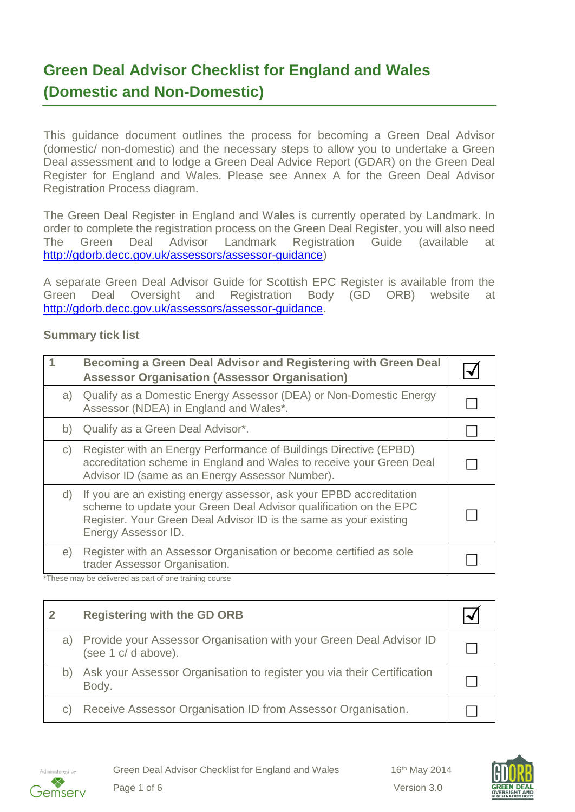# **Green Deal Advisor Checklist for England and Wales (Domestic and Non-Domestic)**

This guidance document outlines the process for becoming a Green Deal Advisor (domestic/ non-domestic) and the necessary steps to allow you to undertake a Green Deal assessment and to lodge a Green Deal Advice Report (GDAR) on the Green Deal Register for England and Wales. Please see Annex A for the Green Deal Advisor Registration Process diagram.

The Green Deal Register in England and Wales is currently operated by Landmark. In order to complete the registration process on the Green Deal Register, you will also need The Green Deal Advisor Landmark Registration Guide (available at [http://gdorb.decc.gov.uk/assessors/assessor-guidance\)](http://gdorb.decc.gov.uk/assessors/assessor-guidance)

A separate Green Deal Advisor Guide for Scottish EPC Register is available from the Green Deal Oversight and Registration Body (GD ORB) website at [http://gdorb.decc.gov.uk/assessors/assessor-guidance.](http://gdorb.decc.gov.uk/assessors/assessor-guidance)

#### **Summary tick list**

|              | Becoming a Green Deal Advisor and Registering with Green Deal<br><b>Assessor Organisation (Assessor Organisation)</b>                                                                                                                |  |
|--------------|--------------------------------------------------------------------------------------------------------------------------------------------------------------------------------------------------------------------------------------|--|
| a)           | Qualify as a Domestic Energy Assessor (DEA) or Non-Domestic Energy<br>Assessor (NDEA) in England and Wales*.                                                                                                                         |  |
| b)           | Qualify as a Green Deal Advisor*.                                                                                                                                                                                                    |  |
| $\mathsf{C}$ | Register with an Energy Performance of Buildings Directive (EPBD)<br>accreditation scheme in England and Wales to receive your Green Deal<br>Advisor ID (same as an Energy Assessor Number).                                         |  |
| d)           | If you are an existing energy assessor, ask your EPBD accreditation<br>scheme to update your Green Deal Advisor qualification on the EPC<br>Register. Your Green Deal Advisor ID is the same as your existing<br>Energy Assessor ID. |  |
| e)           | Register with an Assessor Organisation or become certified as sole<br>trader Assessor Organisation.                                                                                                                                  |  |

\*These may be delivered as part of one training course

|    | <b>Registering with the GD ORB</b>                                                       |  |
|----|------------------------------------------------------------------------------------------|--|
| a) | Provide your Assessor Organisation with your Green Deal Advisor ID<br>(see 1 c/d above). |  |
| b) | Ask your Assessor Organisation to register you via their Certification<br>Body.          |  |
| C) | Receive Assessor Organisation ID from Assessor Organisation.                             |  |



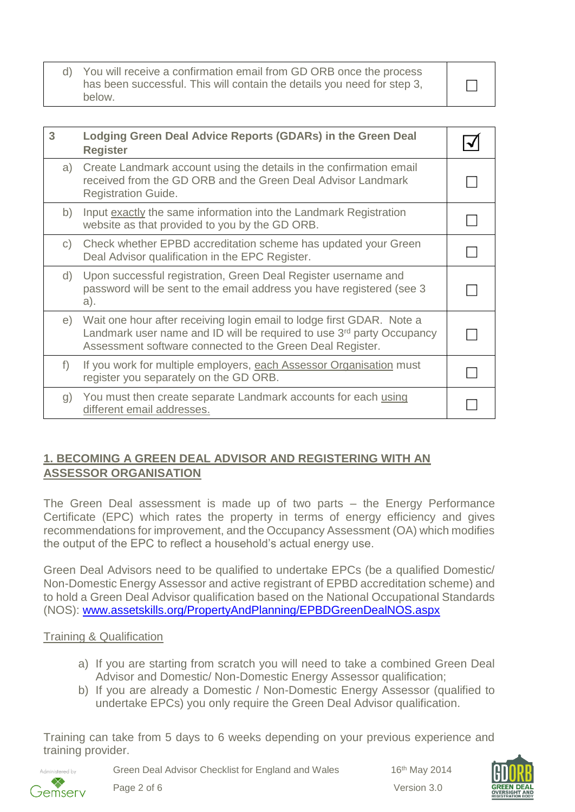d) You will receive a confirmation email from GD ORB once the process has been successful. This will contain the details you need for step 3, below.

| 3            | Lodging Green Deal Advice Reports (GDARs) in the Green Deal<br><b>Register</b>                                                                                                                                          |  |
|--------------|-------------------------------------------------------------------------------------------------------------------------------------------------------------------------------------------------------------------------|--|
| a)           | Create Landmark account using the details in the confirmation email<br>received from the GD ORB and the Green Deal Advisor Landmark<br><b>Registration Guide.</b>                                                       |  |
| b)           | Input exactly the same information into the Landmark Registration<br>website as that provided to you by the GD ORB.                                                                                                     |  |
| $\mathsf{C}$ | Check whether EPBD accreditation scheme has updated your Green<br>Deal Advisor qualification in the EPC Register.                                                                                                       |  |
|              | d) Upon successful registration, Green Deal Register username and<br>password will be sent to the email address you have registered (see 3)<br>a).                                                                      |  |
| e)           | Wait one hour after receiving login email to lodge first GDAR. Note a<br>Landmark user name and ID will be required to use 3 <sup>rd</sup> party Occupancy<br>Assessment software connected to the Green Deal Register. |  |
| $f$ )        | If you work for multiple employers, each Assessor Organisation must<br>register you separately on the GD ORB.                                                                                                           |  |
| g)           | You must then create separate Landmark accounts for each using<br>different email addresses.                                                                                                                            |  |

# **1. BECOMING A GREEN DEAL ADVISOR AND REGISTERING WITH AN ASSESSOR ORGANISATION**

The Green Deal assessment is made up of two parts – the Energy Performance Certificate (EPC) which rates the property in terms of energy efficiency and gives recommendations for improvement, and the Occupancy Assessment (OA) which modifies the output of the EPC to reflect a household's actual energy use.

Green Deal Advisors need to be qualified to undertake EPCs (be a qualified Domestic/ Non-Domestic Energy Assessor and active registrant of EPBD accreditation scheme) and to hold a Green Deal Advisor qualification based on the National Occupational Standards (NOS): [www.assetskills.org/PropertyAndPlanning/EPBDGreenDealNOS.aspx](http://www.assetskills.org/PropertyAndPlanning/EPBDGreenDealNOS.aspx)

## Training & Qualification

- a) If you are starting from scratch you will need to take a combined Green Deal Advisor and Domestic/ Non-Domestic Energy Assessor qualification;
- b) If you are already a Domestic / Non-Domestic Energy Assessor (qualified to undertake EPCs) you only require the Green Deal Advisor qualification.

Training can take from 5 days to 6 weeks depending on your previous experience and training provider.



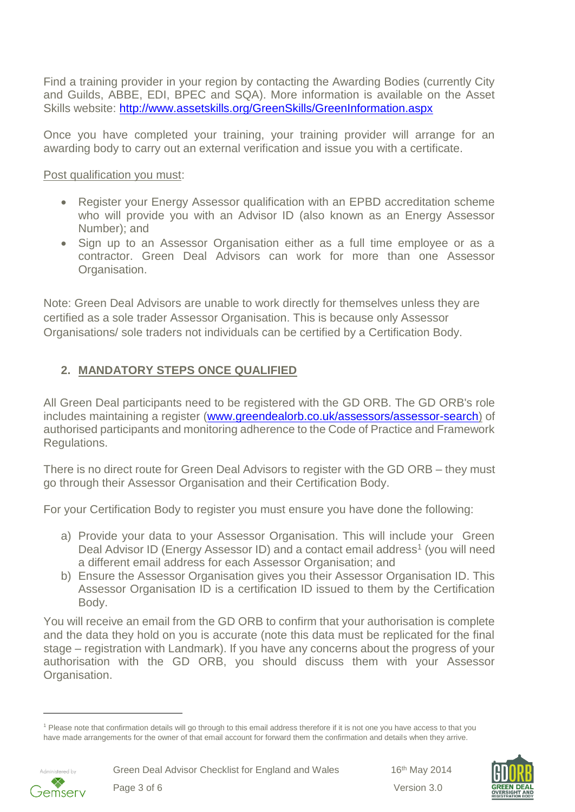Find a training provider in your region by contacting the Awarding Bodies (currently City and Guilds, ABBE, EDI, BPEC and SQA). More information is available on the Asset Skills website:<http://www.assetskills.org/GreenSkills/GreenInformation.aspx>

Once you have completed your training, your training provider will arrange for an awarding body to carry out an external verification and issue you with a certificate.

Post qualification you must:

- Register your Energy Assessor qualification with an EPBD accreditation scheme who will provide you with an Advisor ID (also known as an Energy Assessor Number); and
- Sign up to an Assessor Organisation either as a full time employee or as a contractor. Green Deal Advisors can work for more than one Assessor Organisation.

Note: Green Deal Advisors are unable to work directly for themselves unless they are certified as a sole trader Assessor Organisation. This is because only Assessor Organisations/ sole traders not individuals can be certified by a Certification Body.

# **2. MANDATORY STEPS ONCE QUALIFIED**

All Green Deal participants need to be registered with the GD ORB. The GD ORB's role includes maintaining a register [\(www.greendealorb.co.uk/assessors/assessor-search\)](http://www.greendealorb.co.uk/assessors/assessor-search) of authorised participants and monitoring adherence to the Code of Practice and Framework Regulations.

There is no direct route for Green Deal Advisors to register with the GD ORB – they must go through their Assessor Organisation and their Certification Body.

For your Certification Body to register you must ensure you have done the following:

- a) Provide your data to your Assessor Organisation. This will include your Green Deal Advisor ID (Energy Assessor ID) and a contact email address<sup>1</sup> (you will need a different email address for each Assessor Organisation; and
- b) Ensure the Assessor Organisation gives you their Assessor Organisation ID. This Assessor Organisation ID is a certification ID issued to them by the Certification Body.

You will receive an email from the GD ORB to confirm that your authorisation is complete and the data they hold on you is accurate (note this data must be replicated for the final stage – registration with Landmark). If you have any concerns about the progress of your authorisation with the GD ORB, you should discuss them with your Assessor Organisation.

<sup>1</sup> Please note that confirmation details will go through to this email address therefore if it is not one you have access to that you have made arrangements for the owner of that email account for forward them the confirmation and details when they arrive.



l

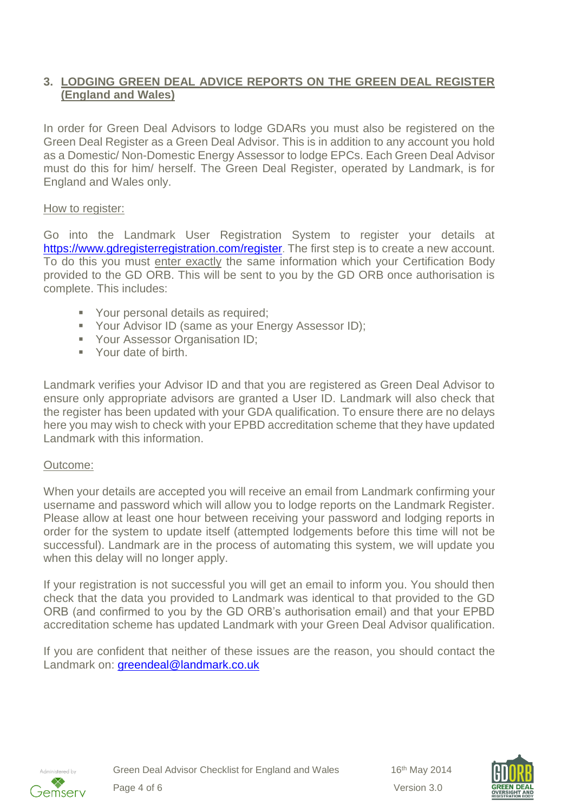# **3. LODGING GREEN DEAL ADVICE REPORTS ON THE GREEN DEAL REGISTER (England and Wales)**

In order for Green Deal Advisors to lodge GDARs you must also be registered on the Green Deal Register as a Green Deal Advisor. This is in addition to any account you hold as a Domestic/ Non-Domestic Energy Assessor to lodge EPCs. Each Green Deal Advisor must do this for him/ herself. The Green Deal Register, operated by Landmark, is for England and Wales only.

## How to register:

Go into the Landmark User Registration System to register your details at <https://www.gdregisterregistration.com/register>. The first step is to create a new account. To do this you must enter exactly the same information which your Certification Body provided to the GD ORB. This will be sent to you by the GD ORB once authorisation is complete. This includes:

- **Vour personal details as required;**
- **Your Advisor ID (same as your Energy Assessor ID);**
- **Your Assessor Organisation ID;**
- Your date of birth.

Landmark verifies your Advisor ID and that you are registered as Green Deal Advisor to ensure only appropriate advisors are granted a User ID. Landmark will also check that the register has been updated with your GDA qualification. To ensure there are no delays here you may wish to check with your EPBD accreditation scheme that they have updated Landmark with this information.

## Outcome:

When your details are accepted you will receive an email from Landmark confirming your username and password which will allow you to lodge reports on the Landmark Register. Please allow at least one hour between receiving your password and lodging reports in order for the system to update itself (attempted lodgements before this time will not be successful). Landmark are in the process of automating this system, we will update you when this delay will no longer apply.

If your registration is not successful you will get an email to inform you. You should then check that the data you provided to Landmark was identical to that provided to the GD ORB (and confirmed to you by the GD ORB's authorisation email) and that your EPBD accreditation scheme has updated Landmark with your Green Deal Advisor qualification.

If you are confident that neither of these issues are the reason, you should contact the Landmark on: [greendeal@landmark.co.uk](mailto:greendeal@landmark.co.uk)



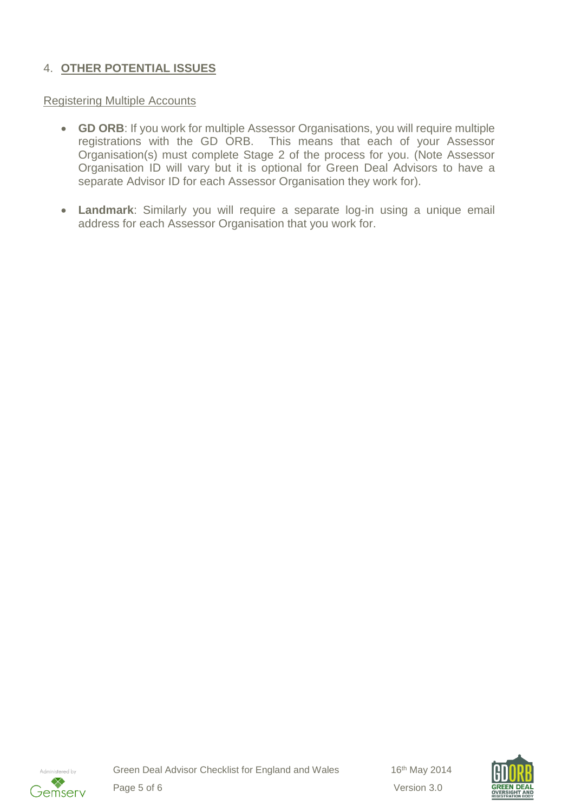# 4. **OTHER POTENTIAL ISSUES**

#### Registering Multiple Accounts

- **GD ORB**: If you work for multiple Assessor Organisations, you will require multiple registrations with the GD ORB. This means that each of your Assessor Organisation(s) must complete Stage 2 of the process for you. (Note Assessor Organisation ID will vary but it is optional for Green Deal Advisors to have a separate Advisor ID for each Assessor Organisation they work for).
- **Landmark**: Similarly you will require a separate log-in using a unique email address for each Assessor Organisation that you work for.